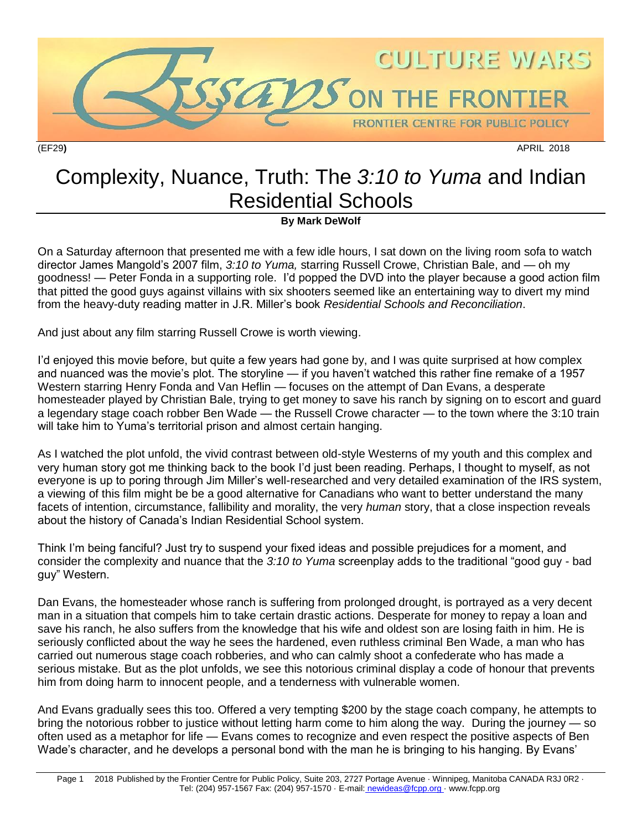

## Complexity, Nuance, Truth: The *3:10 to Yuma* and Indian Residential Schools

## **By Mark DeWolf**

On a Saturday afternoon that presented me with a few idle hours, I sat down on the living room sofa to watch director James Mangold's 2007 film, *3:10 to Yuma,* starring Russell Crowe, Christian Bale, and — oh my goodness! — Peter Fonda in a supporting role. I'd popped the DVD into the player because a good action film that pitted the good guys against villains with six shooters seemed like an entertaining way to divert my mind from the heavy-duty reading matter in J.R. Miller's book *Residential Schools and Reconciliation*.

And just about any film starring Russell Crowe is worth viewing.

I'd enjoyed this movie before, but quite a few years had gone by, and I was quite surprised at how complex and nuanced was the movie's plot. The storyline — if you haven't watched this rather fine remake of a 1957 Western starring Henry Fonda and Van Heflin — focuses on the attempt of Dan Evans, a desperate homesteader played by Christian Bale, trying to get money to save his ranch by signing on to escort and guard a legendary stage coach robber Ben Wade — the Russell Crowe character — to the town where the 3:10 train will take him to Yuma's territorial prison and almost certain hanging.

As I watched the plot unfold, the vivid contrast between old-style Westerns of my youth and this complex and very human story got me thinking back to the book I'd just been reading. Perhaps, I thought to myself, as not everyone is up to poring through Jim Miller's well-researched and very detailed examination of the IRS system, a viewing of this film might be be a good alternative for Canadians who want to better understand the many facets of intention, circumstance, fallibility and morality, the very *human* story, that a close inspection reveals about the history of Canada's Indian Residential School system.

Think I'm being fanciful? Just try to suspend your fixed ideas and possible prejudices for a moment, and consider the complexity and nuance that the *3:10 to Yuma* screenplay adds to the traditional "good guy - bad guy" Western.

Dan Evans, the homesteader whose ranch is suffering from prolonged drought, is portrayed as a very decent man in a situation that compels him to take certain drastic actions. Desperate for money to repay a loan and save his ranch, he also suffers from the knowledge that his wife and oldest son are losing faith in him. He is seriously conflicted about the way he sees the hardened, even ruthless criminal Ben Wade, a man who has carried out numerous stage coach robberies, and who can calmly shoot a confederate who has made a serious mistake. But as the plot unfolds, we see this notorious criminal display a code of honour that prevents him from doing harm to innocent people, and a tenderness with vulnerable women.

And Evans gradually sees this too. Offered a very tempting \$200 by the stage coach company, he attempts to bring the notorious robber to justice without letting harm come to him along the way. During the journey — so often used as a metaphor for life — Evans comes to recognize and even respect the positive aspects of Ben Wade's character, and he develops a personal bond with the man he is bringing to his hanging. By Evans'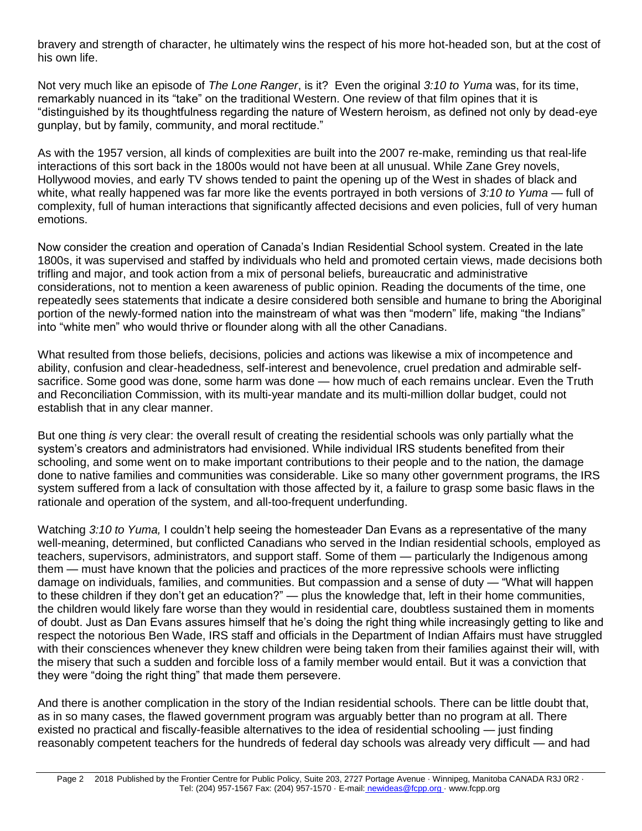bravery and strength of character, he ultimately wins the respect of his more hot-headed son, but at the cost of his own life.

Not very much like an episode of *The Lone Ranger*, is it? Even the original *3:10 to Yuma* was, for its time, remarkably nuanced in its "take" on the traditional Western. One review of that film opines that it is "distinguished by its thoughtfulness regarding the nature of Western heroism, as defined not only by dead-eye gunplay, but by family, community, and moral rectitude."

As with the 1957 version, all kinds of complexities are built into the 2007 re-make, reminding us that real-life interactions of this sort back in the 1800s would not have been at all unusual. While Zane Grey novels, Hollywood movies, and early TV shows tended to paint the opening up of the West in shades of black and white, what really happened was far more like the events portrayed in both versions of *3:10 to Yuma* — full of complexity, full of human interactions that significantly affected decisions and even policies, full of very human emotions.

Now consider the creation and operation of Canada's Indian Residential School system. Created in the late 1800s, it was supervised and staffed by individuals who held and promoted certain views, made decisions both trifling and major, and took action from a mix of personal beliefs, bureaucratic and administrative considerations, not to mention a keen awareness of public opinion. Reading the documents of the time, one repeatedly sees statements that indicate a desire considered both sensible and humane to bring the Aboriginal portion of the newly-formed nation into the mainstream of what was then "modern" life, making "the Indians" into "white men" who would thrive or flounder along with all the other Canadians.

What resulted from those beliefs, decisions, policies and actions was likewise a mix of incompetence and ability, confusion and clear-headedness, self-interest and benevolence, cruel predation and admirable selfsacrifice. Some good was done, some harm was done — how much of each remains unclear. Even the Truth and Reconciliation Commission, with its multi-year mandate and its multi-million dollar budget, could not establish that in any clear manner.

But one thing *is* very clear: the overall result of creating the residential schools was only partially what the system's creators and administrators had envisioned. While individual IRS students benefited from their schooling, and some went on to make important contributions to their people and to the nation, the damage done to native families and communities was considerable. Like so many other government programs, the IRS system suffered from a lack of consultation with those affected by it, a failure to grasp some basic flaws in the rationale and operation of the system, and all-too-frequent underfunding.

Watching *3:10 to Yuma,* I couldn't help seeing the homesteader Dan Evans as a representative of the many well-meaning, determined, but conflicted Canadians who served in the Indian residential schools, employed as teachers, supervisors, administrators, and support staff. Some of them — particularly the Indigenous among them — must have known that the policies and practices of the more repressive schools were inflicting damage on individuals, families, and communities. But compassion and a sense of duty — "What will happen to these children if they don't get an education?" — plus the knowledge that, left in their home communities, the children would likely fare worse than they would in residential care, doubtless sustained them in moments of doubt. Just as Dan Evans assures himself that he's doing the right thing while increasingly getting to like and respect the notorious Ben Wade, IRS staff and officials in the Department of Indian Affairs must have struggled with their consciences whenever they knew children were being taken from their families against their will, with the misery that such a sudden and forcible loss of a family member would entail. But it was a conviction that they were "doing the right thing" that made them persevere.

And there is another complication in the story of the Indian residential schools. There can be little doubt that, as in so many cases, the flawed government program was arguably better than no program at all. There existed no practical and fiscally-feasible alternatives to the idea of residential schooling — just finding reasonably competent teachers for the hundreds of federal day schools was already very difficult — and had